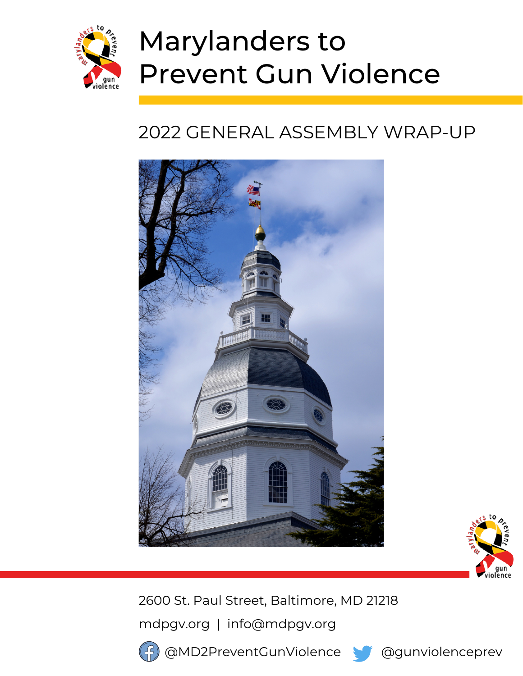

# Marylanders to Prevent Gun Violence

# 2022 GENERAL ASSEMBLY WRAP-UP





2600 St. Paul Street, Baltimore, MD 21218

mdpgv.org | info@mdpgv.org



@MD2PreventGunViolence @@gunviolenceprev

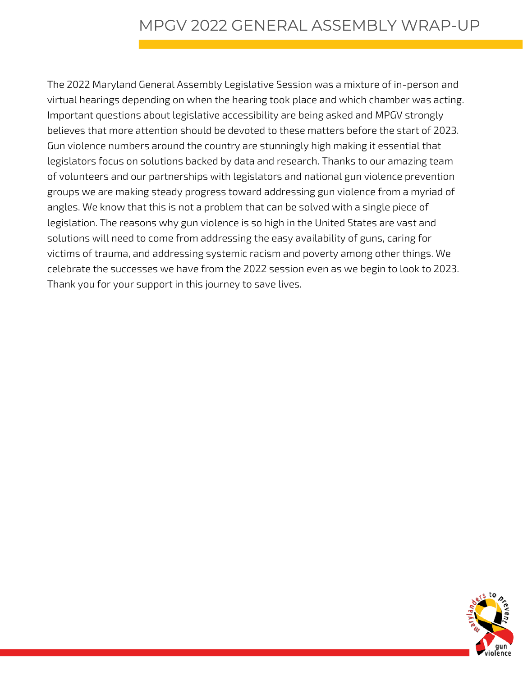The 2022 Maryland General Assembly Legislative Session was a mixture of in-person and virtual hearings depending on when the hearing took place and which chamber was acting. Important questions about legislative accessibility are being asked and MPGV strongly believes that more attention should be devoted to these matters before the start of 2023. Gun violence numbers around the country are stunningly high making it essential that legislators focus on solutions backed by data and research. Thanks to our amazing team of volunteers and our partnerships with legislators and national gun violence prevention groups we are making steady progress toward addressing gun violence from a myriad of angles. We know that this is not a problem that can be solved with a single piece of legislation. The reasons why gun violence is so high in the United States are vast and solutions will need to come from addressing the easy availability of guns, caring for victims of trauma, and addressing systemic racism and poverty among other things. We celebrate the successes we have from the 2022 session even as we begin to look to 2023. Thank you for your support in this journey to save lives.

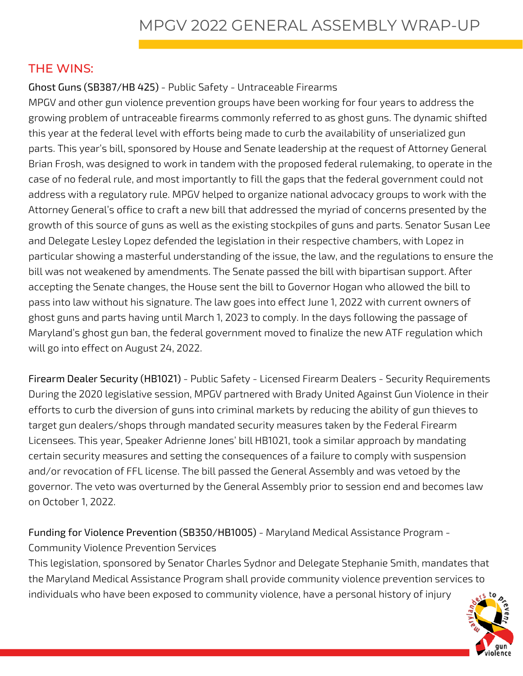#### THE WINS:

#### Ghost Guns (SB387/HB 425) - Public Safety - Untraceable Firearms

MPGV and other gun violence prevention groups have been working for four years to address the growing problem of untraceable firearms commonly referred to as ghost guns. The dynamic shifted this year at the federal level with efforts being made to curb the availability of unserialized gun parts. This year's bill, sponsored by House and Senate leadership at the request of Attorney General Brian Frosh, was designed to work in tandem with the proposed federal rulemaking, to operate in the case of no federal rule, and most importantly to fill the gaps that the federal government could not address with a regulatory rule. MPGV helped to organize national advocacy groups to work with the Attorney General's office to craft a new bill that addressed the myriad of concerns presented by the growth of this source of guns as well as the existing stockpiles of guns and parts. Senator Susan Lee and Delegate Lesley Lopez defended the legislation in their respective chambers, with Lopez in particular showing a masterful understanding of the issue, the law, and the regulations to ensure the bill was not weakened by amendments. The Senate passed the bill with bipartisan support. After accepting the Senate changes, the House sent the bill to Governor Hogan who allowed the bill to pass into law without his signature. The law goes into effect June 1, 2022 with current owners of ghost guns and parts having until March 1, 2023 to comply. In the days following the passage of Maryland's ghost gun ban, the federal government moved to finalize the new ATF regulation which will go into effect on August 24, 2022.

Firearm Dealer Security (HB1021) - Public Safety - Licensed Firearm Dealers - Security Requirements During the 2020 legislative session, MPGV partnered with Brady United Against Gun Violence in their efforts to curb the diversion of guns into criminal markets by reducing the ability of gun thieves to target gun dealers/shops through mandated security measures taken by the Federal Firearm Licensees. This year, Speaker Adrienne Jones' bill HB1021, took a similar approach by mandating certain security measures and setting the consequences of a failure to comply with suspension and/or revocation of FFL license. The bill passed the General Assembly and was vetoed by the governor. The veto was overturned by the General Assembly prior to session end and becomes law on October 1, 2022.

## Funding for Violence Prevention (SB350/HB1005) - Maryland Medical Assistance Program -

Community Violence Prevention Services

This legislation, sponsored by Senator Charles Sydnor and Delegate Stephanie Smith, mandates that the Maryland Medical Assistance Program shall provide community violence prevention services to individuals who have been exposed to community violence, have a personal history of injury

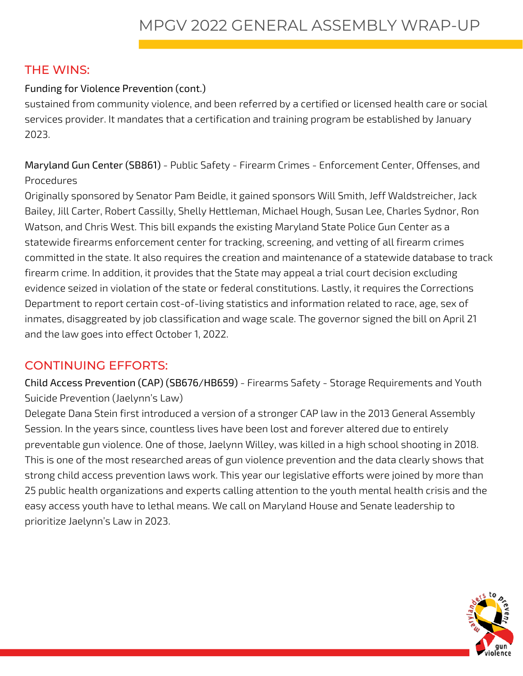#### THE WINS:

#### Funding for Violence Prevention (cont.)

sustained from community violence, and been referred by a certified or licensed health care or social services provider. It mandates that a certification and training program be established by January 2023.

Maryland Gun Center (SB861) - Public Safety - Firearm Crimes - Enforcement Center, Offenses, and Procedures

Originally sponsored by Senator Pam Beidle, it gained sponsors Will Smith, Jeff Waldstreicher, Jack Bailey, Jill Carter, Robert Cassilly, Shelly Hettleman, Michael Hough, Susan Lee, Charles Sydnor, Ron Watson, and Chris West. This bill expands the existing Maryland State Police Gun Center as a statewide firearms enforcement center for tracking, screening, and vetting of all firearm crimes committed in the state. It also requires the creation and maintenance of a statewide database to track firearm crime. In addition, it provides that the State may appeal a trial court decision excluding evidence seized in violation of the state or federal constitutions. Lastly, it requires the Corrections Department to report certain cost-of-living statistics and information related to race, age, sex of inmates, disaggreated by job classification and wage scale. The governor signed the bill on April 21 and the law goes into effect October 1, 2022.

### CONTINUING EFFORTS:

Child Access Prevention (CAP) (SB676/HB659) - Firearms Safety - Storage Requirements and Youth Suicide Prevention (Jaelynn's Law)

Delegate Dana Stein first introduced a version of a stronger CAP law in the 2013 General Assembly Session. In the years since, countless lives have been lost and forever altered due to entirely preventable gun violence. One of those, Jaelynn Willey, was killed in a high school shooting in 2018. This is one of the most researched areas of gun violence prevention and the data clearly shows that strong child access prevention laws work. This year our legislative efforts were joined by more than 25 public health organizations and experts calling attention to the youth mental health crisis and the easy access youth have to lethal means. We call on Maryland House and Senate leadership to prioritize Jaelynn's Law in 2023.

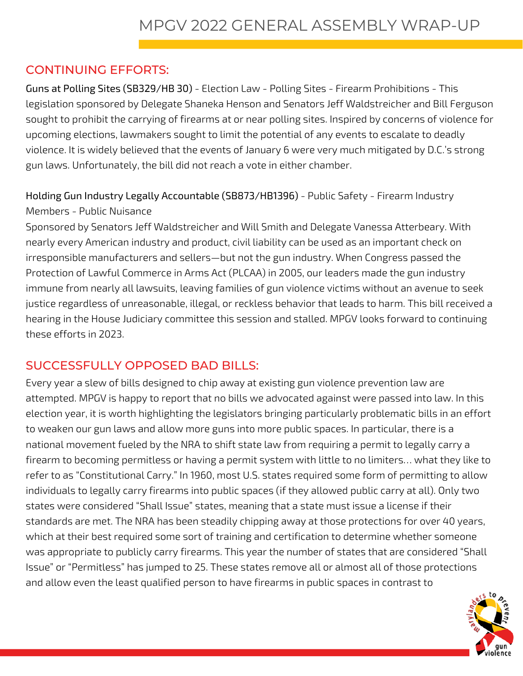#### CONTINUING EFFORTS:

Guns at Polling Sites (SB329/HB 30) - Election Law - Polling Sites - Firearm Prohibitions - This legislation sponsored by Delegate Shaneka Henson and Senators Jeff Waldstreicher and Bill Ferguson sought to prohibit the carrying of firearms at or near polling sites. Inspired by concerns of violence for upcoming elections, lawmakers sought to limit the potential of any events to escalate to deadly violence. It is widely believed that the events of January 6 were very much mitigated by D.C.'s strong gun laws. Unfortunately, the bill did not reach a vote in either chamber.

Holding Gun Industry Legally Accountable (SB873/HB1396) - Public Safety - Firearm Industry Members - Public Nuisance

Sponsored by Senators Jeff Waldstreicher and Will Smith and Delegate Vanessa Atterbeary. With nearly every American industry and product, civil liability can be used as an important check on irresponsible manufacturers and sellers—but not the gun industry. When Congress passed the Protection of Lawful Commerce in Arms Act (PLCAA) in 2005, our leaders made the gun industry immune from nearly all lawsuits, leaving families of gun violence victims without an avenue to seek justice regardless of unreasonable, illegal, or reckless behavior that leads to harm. This bill received a hearing in the House Judiciary committee this session and stalled. MPGV looks forward to continuing these efforts in 2023.

#### SUCCESSFULLY OPPOSED BAD BILLS:

Every year a slew of bills designed to chip away at existing gun violence prevention law are attempted. MPGV is happy to report that no bills we advocated against were passed into law. In this election year, it is worth highlighting the legislators bringing particularly problematic bills in an effort to weaken our gun laws and allow more guns into more public spaces. In particular, there is a national movement fueled by the NRA to shift state law from requiring a permit to legally carry a firearm to becoming permitless or having a permit system with little to no limiters… what they like to refer to as "Constitutional Carry." In 1960, most U.S. states required some form of permitting to allow individuals to legally carry firearms into public spaces (if they allowed public carry at all). Only two states were considered "Shall Issue" states, meaning that a state must issue a license if their standards are met. The NRA has been steadily chipping away at those protections for over 40 years, which at their best required some sort of training and certification to determine whether someone was appropriate to publicly carry firearms. This year the number of states that are considered "Shall Issue" or "Permitless" has jumped to 25. These states remove all or almost all of those protections and allow even the least qualified person to have firearms in public spaces in contrast to